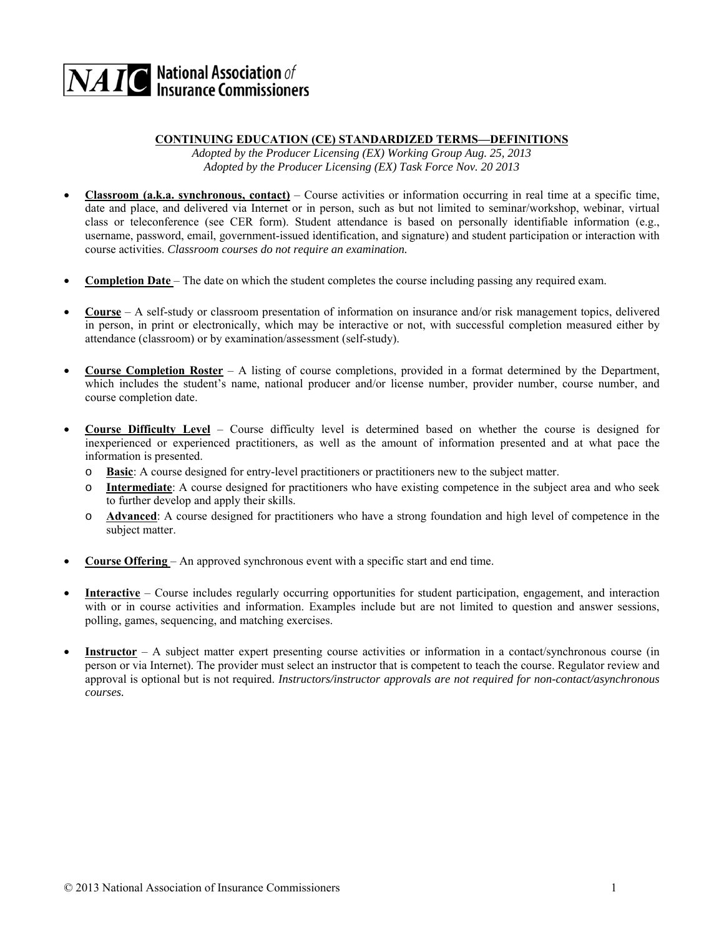## $\overline{\mathbf{NAIC}}$  National Association of<br>Insurance Commissioners

## **CONTINUING EDUCATION (CE) STANDARDIZED TERMS—DEFINITIONS**

*Adopted by the Producer Licensing (EX) Working Group Aug. 25, 2013 Adopted by the Producer Licensing (EX) Task Force Nov. 20 2013* 

- **Classroom (a.k.a. synchronous, contact)**  Course activities or information occurring in real time at a specific time, date and place, and delivered via Internet or in person, such as but not limited to seminar/workshop, webinar, virtual class or teleconference (see CER form). Student attendance is based on personally identifiable information (e.g., username, password, email, government-issued identification, and signature) and student participation or interaction with course activities. *Classroom courses do not require an examination.*
- **Completion Date**  The date on which the student completes the course including passing any required exam.
- **Course**  A self-study or classroom presentation of information on insurance and/or risk management topics, delivered in person, in print or electronically, which may be interactive or not, with successful completion measured either by attendance (classroom) or by examination/assessment (self-study).
- **Course Completion Roster**  A listing of course completions, provided in a format determined by the Department, which includes the student's name, national producer and/or license number, provider number, course number, and course completion date.
- **Course Difficulty Level**  Course difficulty level is determined based on whether the course is designed for inexperienced or experienced practitioners, as well as the amount of information presented and at what pace the information is presented.
	- o **Basic**: A course designed for entry-level practitioners or practitioners new to the subject matter.
	- o **Intermediate**: A course designed for practitioners who have existing competence in the subject area and who seek to further develop and apply their skills.
	- o **Advanced**: A course designed for practitioners who have a strong foundation and high level of competence in the subject matter.
- **Course Offering**  An approved synchronous event with a specific start and end time.
- **Interactive**  Course includes regularly occurring opportunities for student participation, engagement, and interaction with or in course activities and information. Examples include but are not limited to question and answer sessions, polling, games, sequencing, and matching exercises.
- **Instructor**  A subject matter expert presenting course activities or information in a contact/synchronous course (in person or via Internet). The provider must select an instructor that is competent to teach the course. Regulator review and approval is optional but is not required. *Instructors/instructor approvals are not required for non-contact/asynchronous courses.*